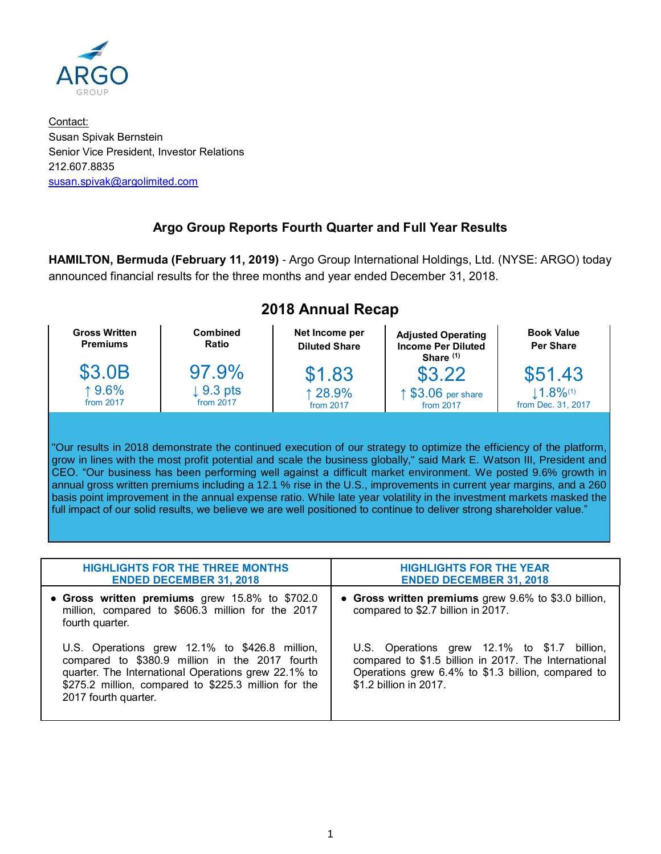

Contact: Susan Spivak Bernstein Senior Vice President, Investor Relations 212.607.8835 susan.spivak@argolimited.com

# **Argo Group Reports Fourth Quarter and Full Year Results**

**HAMILTON, Bermuda (February 11, 2019)** - Argo Group International Holdings, Ltd. (NYSE: ARGO) today announced financial results for the three months and year ended December 31, 2018.



**2018 Annual Recap**

"Our results in 2018 demonstrate the continued execution of our strategy to optimize the efficiency of the platform, grow in lines with the most profit potential and scale the business globally," said Mark E. Watson III, President and CEO. "Our business has been performing well against a difficult market environment. We posted 9.6% growth in annual gross written premiums including a 12.1 % rise in the U.S., improvements in current year margins, and a 260 basis point improvement in the annual expense ratio. While late year volatility in the investment markets masked the full impact of our solid results, we believe we are well positioned to continue to deliver strong shareholder value."

| <b>HIGHLIGHTS FOR THE THREE MONTHS</b><br><b>ENDED DECEMBER 31, 2018</b>                                                                                                                                                                | <b>HIGHLIGHTS FOR THE YEAR</b><br><b>ENDED DECEMBER 31, 2018</b>                                                                                                                     |
|-----------------------------------------------------------------------------------------------------------------------------------------------------------------------------------------------------------------------------------------|--------------------------------------------------------------------------------------------------------------------------------------------------------------------------------------|
| • Gross written premiums grew 15.8% to \$702.0<br>million, compared to \$606.3 million for the 2017<br>fourth quarter.                                                                                                                  | • Gross written premiums grew 9.6% to \$3.0 billion,<br>compared to \$2.7 billion in 2017.                                                                                           |
| U.S. Operations grew 12.1% to \$426.8 million,<br>compared to \$380.9 million in the 2017 fourth<br>quarter. The International Operations grew 22.1% to<br>\$275.2 million, compared to \$225.3 million for the<br>2017 fourth quarter. | U.S. Operations grew 12.1% to \$1.7 billion,<br>compared to \$1.5 billion in 2017. The International<br>Operations grew 6.4% to \$1.3 billion, compared to<br>\$1.2 billion in 2017. |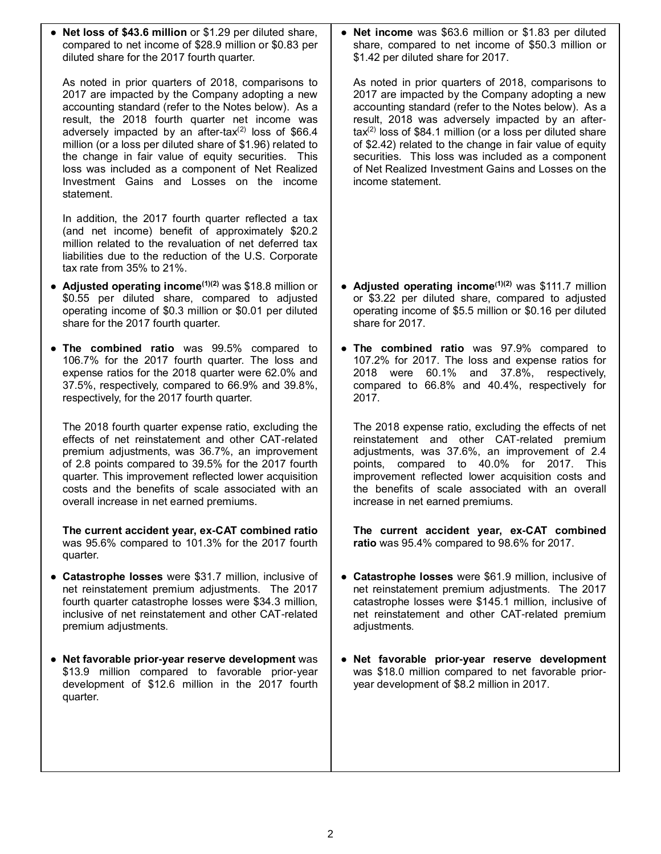**Net loss of \$43.6 million** or \$1.29 per diluted share, compared to net income of \$28.9 million or \$0.83 per diluted share for the 2017 fourth quarter.

As noted in prior quarters of 2018, comparisons to 2017 are impacted by the Company adopting a new accounting standard (refer to the Notes below). As a result, the 2018 fourth quarter net income was adversely impacted by an after-tax $(2)$  loss of \$66.4 million (or a loss per diluted share of \$1.96) related to the change in fair value of equity securities. This loss was included as a component of Net Realized Investment Gains and Losses on the income statement.

In addition, the 2017 fourth quarter reflected a tax (and net income) benefit of approximately \$20.2 million related to the revaluation of net deferred tax liabilities due to the reduction of the U.S. Corporate tax rate from 35% to 21%.

- **Adjusted operating income(1)(2)** was \$18.8 million or \$0.55 per diluted share, compared to adjusted operating income of \$0.3 million or \$0.01 per diluted share for the 2017 fourth quarter.
- **The combined ratio** was 99.5% compared to 106.7% for the 2017 fourth quarter. The loss and expense ratios for the 2018 quarter were 62.0% and 37.5%, respectively, compared to 66.9% and 39.8%, respectively, for the 2017 fourth quarter.

The 2018 fourth quarter expense ratio, excluding the effects of net reinstatement and other CAT-related premium adjustments, was 36.7%, an improvement of 2.8 points compared to 39.5% for the 2017 fourth quarter. This improvement reflected lower acquisition costs and the benefits of scale associated with an overall increase in net earned premiums.

**The current accident year, ex-CAT combined ratio** was 95.6% compared to 101.3% for the 2017 fourth quarter.

- **Catastrophe losses** were \$31.7 million, inclusive of net reinstatement premium adjustments. The 2017 fourth quarter catastrophe losses were \$34.3 million, inclusive of net reinstatement and other CAT-related premium adjustments.
- **Net favorable prior-year reserve development** was \$13.9 million compared to favorable prior-year development of \$12.6 million in the 2017 fourth quarter.

● **Net income** was \$63.6 million or \$1.83 per diluted share, compared to net income of \$50.3 million or \$1.42 per diluted share for 2017.

As noted in prior quarters of 2018, comparisons to 2017 are impacted by the Company adopting a new accounting standard (refer to the Notes below). As a result, 2018 was adversely impacted by an aftertax<sup>(2)</sup> loss of \$84.1 million (or a loss per diluted share of \$2.42) related to the change in fair value of equity securities. This loss was included as a component of Net Realized Investment Gains and Losses on the income statement.

- **Adjusted operating income(1)(2)** was \$111.7 million or \$3.22 per diluted share, compared to adjusted operating income of \$5.5 million or \$0.16 per diluted share for 2017.
- **The combined ratio** was 97.9% compared to 107.2% for 2017. The loss and expense ratios for 2018 were 60.1% and 37.8%, respectively, compared to 66.8% and 40.4%, respectively for 2017.

The 2018 expense ratio, excluding the effects of net reinstatement and other CAT-related premium adjustments, was 37.6%, an improvement of 2.4 points, compared to 40.0% for 2017. This improvement reflected lower acquisition costs and the benefits of scale associated with an overall increase in net earned premiums.

**The current accident year, ex-CAT combined ratio** was 95.4% compared to 98.6% for 2017.

- **Catastrophe losses** were \$61.9 million, inclusive of net reinstatement premium adjustments. The 2017 catastrophe losses were \$145.1 million, inclusive of net reinstatement and other CAT-related premium adjustments.
- **Net favorable prior-year reserve development** was \$18.0 million compared to net favorable prioryear development of \$8.2 million in 2017.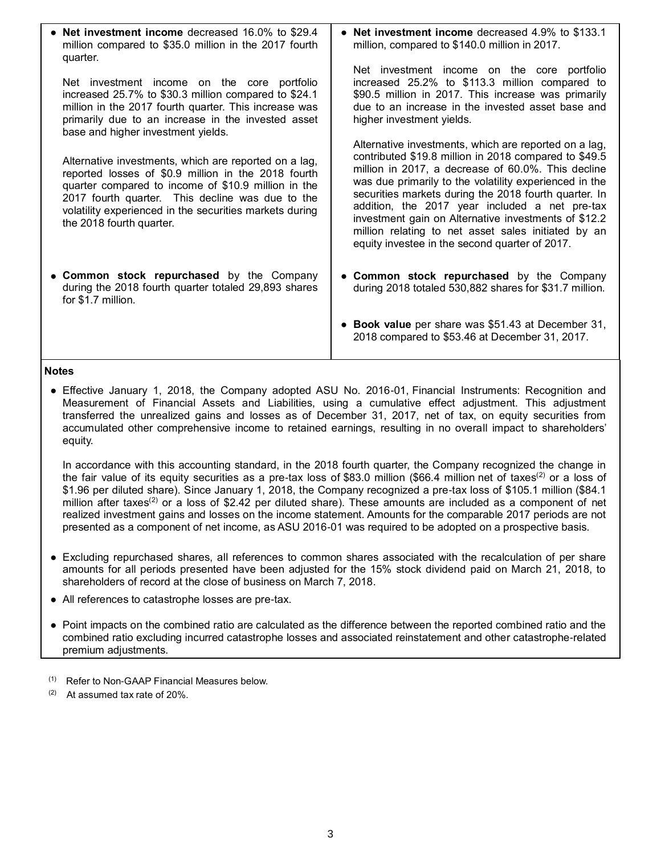| • Net investment income decreased 16.0% to \$29.4<br>million compared to \$35.0 million in the 2017 fourth<br>quarter.                                                                                                                                                                                         | • Net investment income decreased 4.9% to \$133.1<br>million, compared to \$140.0 million in 2017.                                                                                                                                                                                                                                                                                                                                                                                                         |
|----------------------------------------------------------------------------------------------------------------------------------------------------------------------------------------------------------------------------------------------------------------------------------------------------------------|------------------------------------------------------------------------------------------------------------------------------------------------------------------------------------------------------------------------------------------------------------------------------------------------------------------------------------------------------------------------------------------------------------------------------------------------------------------------------------------------------------|
| Net investment income on the core portfolio<br>increased 25.7% to \$30.3 million compared to \$24.1<br>million in the 2017 fourth quarter. This increase was<br>primarily due to an increase in the invested asset<br>base and higher investment yields.                                                       | Net investment income on the core portfolio<br>increased 25.2% to \$113.3 million compared to<br>\$90.5 million in 2017. This increase was primarily<br>due to an increase in the invested asset base and<br>higher investment yields.                                                                                                                                                                                                                                                                     |
| Alternative investments, which are reported on a lag,<br>reported losses of \$0.9 million in the 2018 fourth<br>quarter compared to income of \$10.9 million in the<br>2017 fourth quarter. This decline was due to the<br>volatility experienced in the securities markets during<br>the 2018 fourth quarter. | Alternative investments, which are reported on a lag,<br>contributed \$19.8 million in 2018 compared to \$49.5<br>million in 2017, a decrease of 60.0%. This decline<br>was due primarily to the volatility experienced in the<br>securities markets during the 2018 fourth quarter. In<br>addition, the 2017 year included a net pre-tax<br>investment gain on Alternative investments of \$12.2<br>million relating to net asset sales initiated by an<br>equity investee in the second quarter of 2017. |
| • Common stock repurchased by the Company<br>during the 2018 fourth quarter totaled 29,893 shares<br>for \$1.7 million.                                                                                                                                                                                        | • Common stock repurchased by the Company<br>during 2018 totaled 530,882 shares for \$31.7 million.                                                                                                                                                                                                                                                                                                                                                                                                        |
|                                                                                                                                                                                                                                                                                                                | • Book value per share was \$51.43 at December 31,<br>2018 compared to \$53.46 at December 31, 2017.                                                                                                                                                                                                                                                                                                                                                                                                       |

**Notes**

● Effective January 1, 2018, the Company adopted ASU No. 2016-01, Financial Instruments: Recognition and Measurement of Financial Assets and Liabilities, using a cumulative effect adjustment. This adjustment transferred the unrealized gains and losses as of December 31, 2017, net of tax, on equity securities from accumulated other comprehensive income to retained earnings, resulting in no overall impact to shareholders' equity.

In accordance with this accounting standard, in the 2018 fourth quarter, the Company recognized the change in the fair value of its equity securities as a pre-tax loss of \$83.0 million (\$66.4 million net of taxes<sup>(2)</sup> or a loss of \$1.96 per diluted share). Since January 1, 2018, the Company recognized a pre-tax loss of \$105.1 million (\$84.1 million after taxes<sup>(2)</sup> or a loss of \$2.42 per diluted share). These amounts are included as a component of net realized investment gains and losses on the income statement. Amounts for the comparable 2017 periods are not presented as a component of net income, as ASU 2016-01 was required to be adopted on a prospective basis.

- Excluding repurchased shares, all references to common shares associated with the recalculation of per share amounts for all periods presented have been adjusted for the 15% stock dividend paid on March 21, 2018, to shareholders of record at the close of business on March 7, 2018.
- All references to catastrophe losses are pre-tax.
- Point impacts on the combined ratio are calculated as the difference between the reported combined ratio and the combined ratio excluding incurred catastrophe losses and associated reinstatement and other catastrophe-related premium adjustments.

(1) Refer to Non-GAAP Financial Measures below.

(2) At assumed tax rate of 20%.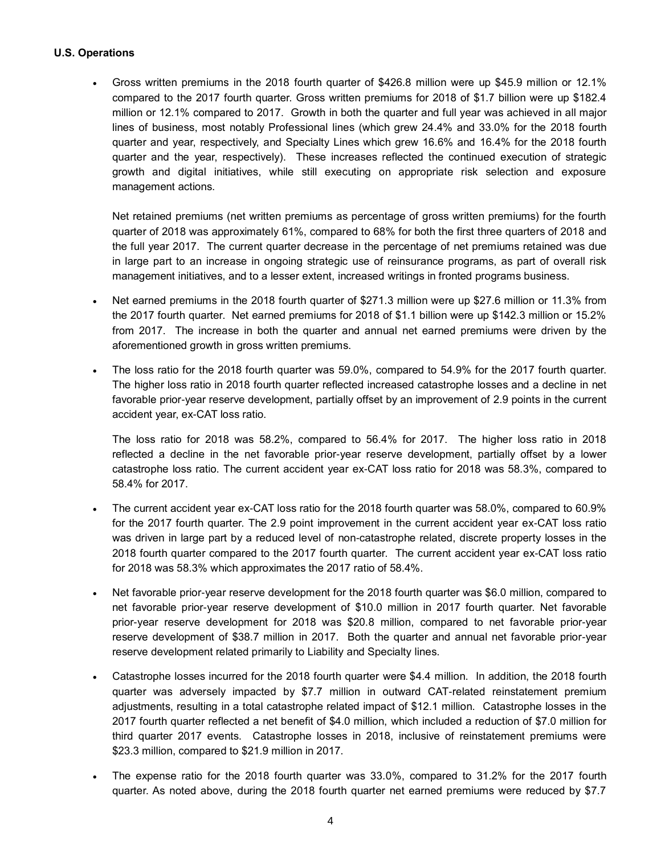### **U.S. Operations**

• Gross written premiums in the 2018 fourth quarter of \$426.8 million were up \$45.9 million or 12.1% compared to the 2017 fourth quarter. Gross written premiums for 2018 of \$1.7 billion were up \$182.4 million or 12.1% compared to 2017. Growth in both the quarter and full year was achieved in all major lines of business, most notably Professional lines (which grew 24.4% and 33.0% for the 2018 fourth quarter and year, respectively, and Specialty Lines which grew 16.6% and 16.4% for the 2018 fourth quarter and the year, respectively). These increases reflected the continued execution of strategic growth and digital initiatives, while still executing on appropriate risk selection and exposure management actions.

Net retained premiums (net written premiums as percentage of gross written premiums) for the fourth quarter of 2018 was approximately 61%, compared to 68% for both the first three quarters of 2018 and the full year 2017. The current quarter decrease in the percentage of net premiums retained was due in large part to an increase in ongoing strategic use of reinsurance programs, as part of overall risk management initiatives, and to a lesser extent, increased writings in fronted programs business.

- Net earned premiums in the 2018 fourth quarter of \$271.3 million were up \$27.6 million or 11.3% from the 2017 fourth quarter. Net earned premiums for 2018 of \$1.1 billion were up \$142.3 million or 15.2% from 2017. The increase in both the quarter and annual net earned premiums were driven by the aforementioned growth in gross written premiums.
- The loss ratio for the 2018 fourth quarter was 59.0%, compared to 54.9% for the 2017 fourth quarter. The higher loss ratio in 2018 fourth quarter reflected increased catastrophe losses and a decline in net favorable prior-year reserve development, partially offset by an improvement of 2.9 points in the current accident year, ex-CAT loss ratio.

The loss ratio for 2018 was 58.2%, compared to 56.4% for 2017. The higher loss ratio in 2018 reflected a decline in the net favorable prior-year reserve development, partially offset by a lower catastrophe loss ratio. The current accident year ex-CAT loss ratio for 2018 was 58.3%, compared to 58.4% for 2017.

- The current accident year ex-CAT loss ratio for the 2018 fourth quarter was 58.0%, compared to 60.9% for the 2017 fourth quarter. The 2.9 point improvement in the current accident year ex-CAT loss ratio was driven in large part by a reduced level of non-catastrophe related, discrete property losses in the 2018 fourth quarter compared to the 2017 fourth quarter. The current accident year ex-CAT loss ratio for 2018 was 58.3% which approximates the 2017 ratio of 58.4%.
- Net favorable prior-year reserve development for the 2018 fourth quarter was \$6.0 million, compared to net favorable prior-year reserve development of \$10.0 million in 2017 fourth quarter. Net favorable prior-year reserve development for 2018 was \$20.8 million, compared to net favorable prior-year reserve development of \$38.7 million in 2017. Both the quarter and annual net favorable prior-year reserve development related primarily to Liability and Specialty lines.
- Catastrophe losses incurred for the 2018 fourth quarter were \$4.4 million. In addition, the 2018 fourth quarter was adversely impacted by \$7.7 million in outward CAT-related reinstatement premium adjustments, resulting in a total catastrophe related impact of \$12.1 million. Catastrophe losses in the 2017 fourth quarter reflected a net benefit of \$4.0 million, which included a reduction of \$7.0 million for third quarter 2017 events. Catastrophe losses in 2018, inclusive of reinstatement premiums were \$23.3 million, compared to \$21.9 million in 2017.
- The expense ratio for the 2018 fourth quarter was 33.0%, compared to 31.2% for the 2017 fourth quarter. As noted above, during the 2018 fourth quarter net earned premiums were reduced by \$7.7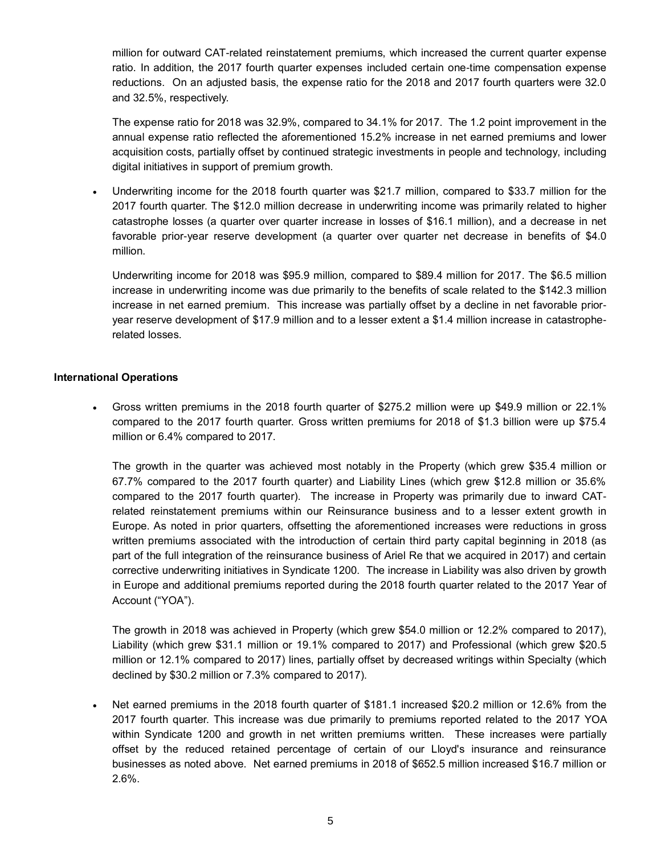million for outward CAT-related reinstatement premiums, which increased the current quarter expense ratio. In addition, the 2017 fourth quarter expenses included certain one-time compensation expense reductions. On an adjusted basis, the expense ratio for the 2018 and 2017 fourth quarters were 32.0 and 32.5%, respectively.

The expense ratio for 2018 was 32.9%, compared to 34.1% for 2017. The 1.2 point improvement in the annual expense ratio reflected the aforementioned 15.2% increase in net earned premiums and lower acquisition costs, partially offset by continued strategic investments in people and technology, including digital initiatives in support of premium growth.

• Underwriting income for the 2018 fourth quarter was \$21.7 million, compared to \$33.7 million for the 2017 fourth quarter. The \$12.0 million decrease in underwriting income was primarily related to higher catastrophe losses (a quarter over quarter increase in losses of \$16.1 million), and a decrease in net favorable prior-year reserve development (a quarter over quarter net decrease in benefits of \$4.0 million.

Underwriting income for 2018 was \$95.9 million, compared to \$89.4 million for 2017. The \$6.5 million increase in underwriting income was due primarily to the benefits of scale related to the \$142.3 million increase in net earned premium. This increase was partially offset by a decline in net favorable prioryear reserve development of \$17.9 million and to a lesser extent a \$1.4 million increase in catastropherelated losses.

### **International Operations**

• Gross written premiums in the 2018 fourth quarter of \$275.2 million were up \$49.9 million or 22.1% compared to the 2017 fourth quarter. Gross written premiums for 2018 of \$1.3 billion were up \$75.4 million or 6.4% compared to 2017.

The growth in the quarter was achieved most notably in the Property (which grew \$35.4 million or 67.7% compared to the 2017 fourth quarter) and Liability Lines (which grew \$12.8 million or 35.6% compared to the 2017 fourth quarter). The increase in Property was primarily due to inward CATrelated reinstatement premiums within our Reinsurance business and to a lesser extent growth in Europe. As noted in prior quarters, offsetting the aforementioned increases were reductions in gross written premiums associated with the introduction of certain third party capital beginning in 2018 (as part of the full integration of the reinsurance business of Ariel Re that we acquired in 2017) and certain corrective underwriting initiatives in Syndicate 1200. The increase in Liability was also driven by growth in Europe and additional premiums reported during the 2018 fourth quarter related to the 2017 Year of Account ("YOA").

The growth in 2018 was achieved in Property (which grew \$54.0 million or 12.2% compared to 2017), Liability (which grew \$31.1 million or 19.1% compared to 2017) and Professional (which grew \$20.5 million or 12.1% compared to 2017) lines, partially offset by decreased writings within Specialty (which declined by \$30.2 million or 7.3% compared to 2017).

Net earned premiums in the 2018 fourth quarter of \$181.1 increased \$20.2 million or 12.6% from the 2017 fourth quarter. This increase was due primarily to premiums reported related to the 2017 YOA within Syndicate 1200 and growth in net written premiums written. These increases were partially offset by the reduced retained percentage of certain of our Lloyd's insurance and reinsurance businesses as noted above. Net earned premiums in 2018 of \$652.5 million increased \$16.7 million or 2.6%.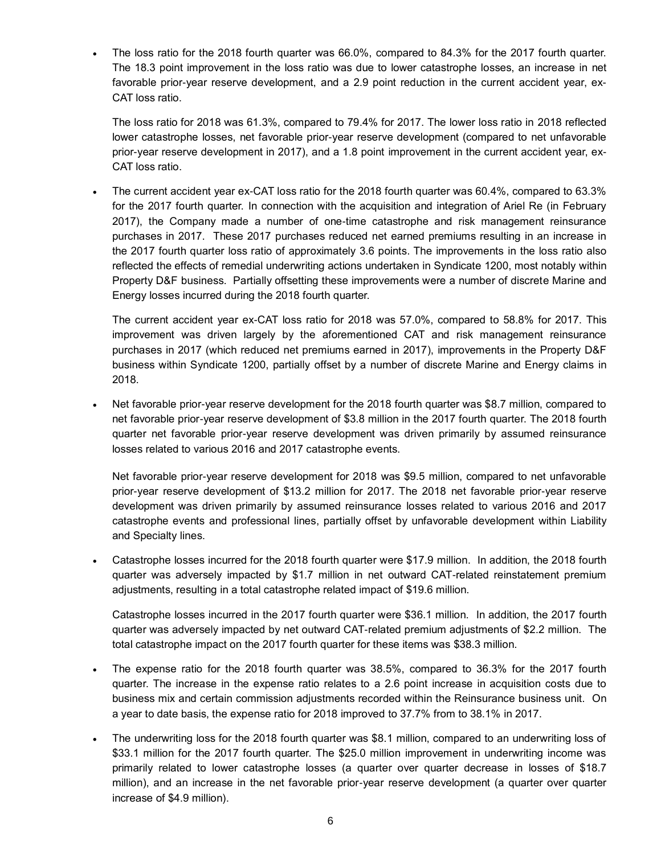• The loss ratio for the 2018 fourth quarter was 66.0%, compared to 84.3% for the 2017 fourth quarter. The 18.3 point improvement in the loss ratio was due to lower catastrophe losses, an increase in net favorable prior-year reserve development, and a 2.9 point reduction in the current accident year, ex-CAT loss ratio.

The loss ratio for 2018 was 61.3%, compared to 79.4% for 2017. The lower loss ratio in 2018 reflected lower catastrophe losses, net favorable prior-year reserve development (compared to net unfavorable prior-year reserve development in 2017), and a 1.8 point improvement in the current accident year, ex-CAT loss ratio.

• The current accident year ex-CAT loss ratio for the 2018 fourth quarter was 60.4%, compared to 63.3% for the 2017 fourth quarter. In connection with the acquisition and integration of Ariel Re (in February 2017), the Company made a number of one-time catastrophe and risk management reinsurance purchases in 2017. These 2017 purchases reduced net earned premiums resulting in an increase in the 2017 fourth quarter loss ratio of approximately 3.6 points. The improvements in the loss ratio also reflected the effects of remedial underwriting actions undertaken in Syndicate 1200, most notably within Property D&F business. Partially offsetting these improvements were a number of discrete Marine and Energy losses incurred during the 2018 fourth quarter.

The current accident year ex-CAT loss ratio for 2018 was 57.0%, compared to 58.8% for 2017. This improvement was driven largely by the aforementioned CAT and risk management reinsurance purchases in 2017 (which reduced net premiums earned in 2017), improvements in the Property D&F business within Syndicate 1200, partially offset by a number of discrete Marine and Energy claims in 2018.

• Net favorable prior-year reserve development for the 2018 fourth quarter was \$8.7 million, compared to net favorable prior-year reserve development of \$3.8 million in the 2017 fourth quarter. The 2018 fourth quarter net favorable prior-year reserve development was driven primarily by assumed reinsurance losses related to various 2016 and 2017 catastrophe events.

Net favorable prior-year reserve development for 2018 was \$9.5 million, compared to net unfavorable prior-year reserve development of \$13.2 million for 2017. The 2018 net favorable prior-year reserve development was driven primarily by assumed reinsurance losses related to various 2016 and 2017 catastrophe events and professional lines, partially offset by unfavorable development within Liability and Specialty lines.

• Catastrophe losses incurred for the 2018 fourth quarter were \$17.9 million. In addition, the 2018 fourth quarter was adversely impacted by \$1.7 million in net outward CAT-related reinstatement premium adjustments, resulting in a total catastrophe related impact of \$19.6 million.

Catastrophe losses incurred in the 2017 fourth quarter were \$36.1 million. In addition, the 2017 fourth quarter was adversely impacted by net outward CAT-related premium adjustments of \$2.2 million. The total catastrophe impact on the 2017 fourth quarter for these items was \$38.3 million.

- The expense ratio for the 2018 fourth quarter was 38.5%, compared to 36.3% for the 2017 fourth quarter. The increase in the expense ratio relates to a 2.6 point increase in acquisition costs due to business mix and certain commission adjustments recorded within the Reinsurance business unit. On a year to date basis, the expense ratio for 2018 improved to 37.7% from to 38.1% in 2017.
- The underwriting loss for the 2018 fourth quarter was \$8.1 million, compared to an underwriting loss of \$33.1 million for the 2017 fourth quarter. The \$25.0 million improvement in underwriting income was primarily related to lower catastrophe losses (a quarter over quarter decrease in losses of \$18.7 million), and an increase in the net favorable prior-year reserve development (a quarter over quarter increase of \$4.9 million).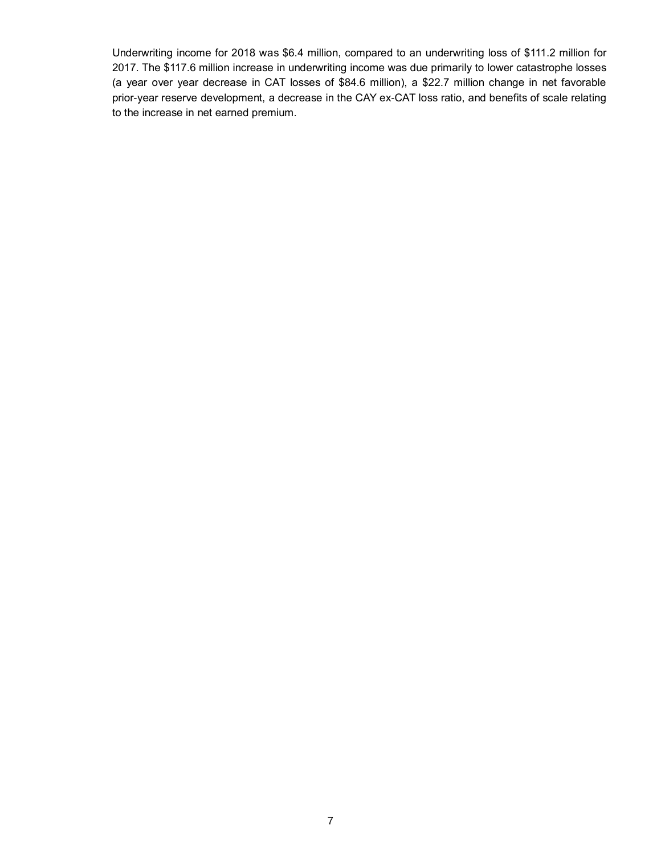Underwriting income for 2018 was \$6.4 million, compared to an underwriting loss of \$111.2 million for 2017. The \$117.6 million increase in underwriting income was due primarily to lower catastrophe losses (a year over year decrease in CAT losses of \$84.6 million), a \$22.7 million change in net favorable prior-year reserve development, a decrease in the CAY ex-CAT loss ratio, and benefits of scale relating to the increase in net earned premium.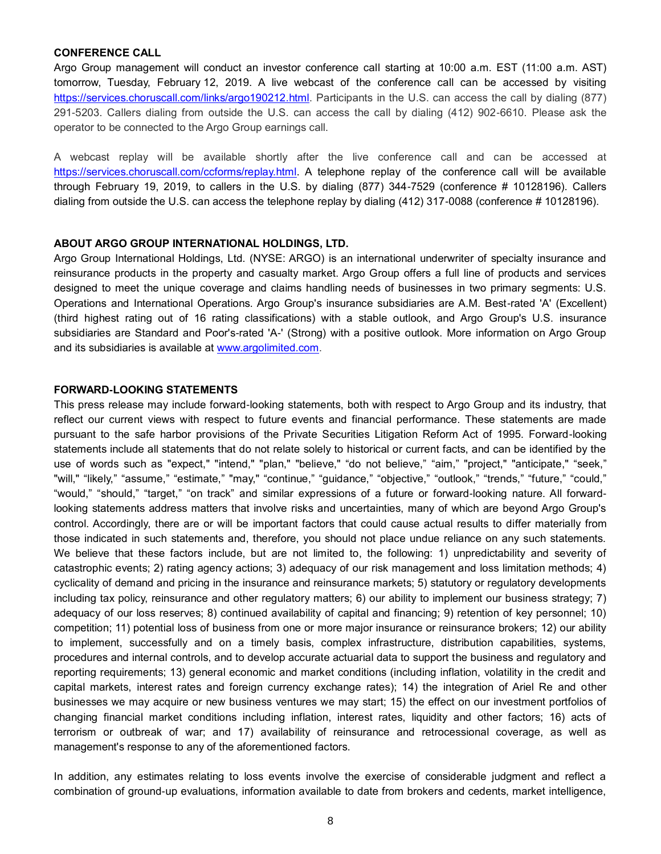#### **CONFERENCE CALL**

Argo Group management will conduct an investor conference call starting at 10:00 a.m. EST (11:00 a.m. AST) tomorrow, Tuesday, February 12, 2019. A live webcast of the conference call can be accessed by visiting https://services.choruscall.com/links/argo190212.html</u>. Participants in the U.S. can access the call by dialing (877) 291-5203. Callers dialing from outside the U.S. can access the call by dialing (412) 902-6610. Please ask the operator to be connected to the Argo Group earnings call.

A webcast replay will be available shortly after the live conference call and can be accessed at [https://services.choruscall.com/ccforms/replay.html.](https://services.choruscall.com/ccforms/replay.html) A telephone replay of the conference call will be available through February 19, 2019, to callers in the U.S. by dialing (877) 344-7529 (conference # 10128196). Callers dialing from outside the U.S. can access the telephone replay by dialing (412) 317-0088 (conference # 10128196).

#### **ABOUT ARGO GROUP INTERNATIONAL HOLDINGS, LTD.**

Argo Group International Holdings, Ltd. (NYSE: ARGO) is an international underwriter of specialty insurance and reinsurance products in the property and casualty market. Argo Group offers a full line of products and services designed to meet the unique coverage and claims handling needs of businesses in two primary segments: U.S. Operations and International Operations. Argo Group's insurance subsidiaries are A.M. Best-rated 'A' (Excellent) (third highest rating out of 16 rating classifications) with a stable outlook, and Argo Group's U.S. insurance subsidiaries are Standard and Poor's-rated 'A-' (Strong) with a positive outlook. More information on Argo Group and its subsidiaries is available at www.argolimited.com.

#### **FORWARD-LOOKING STATEMENTS**

This press release may include forward-looking statements, both with respect to Argo Group and its industry, that reflect our current views with respect to future events and financial performance. These statements are made pursuant to the safe harbor provisions of the Private Securities Litigation Reform Act of 1995. Forward-looking statements include all statements that do not relate solely to historical or current facts, and can be identified by the use of words such as "expect," "intend," "plan," "believe," "do not believe," "aim," "project," "anticipate," "seek," "will," "likely," "assume," "estimate," "may," "continue," "guidance," "objective," "outlook," "trends," "future," "could," "would," "should," "target," "on track" and similar expressions of a future or forward-looking nature. All forwardlooking statements address matters that involve risks and uncertainties, many of which are beyond Argo Group's control. Accordingly, there are or will be important factors that could cause actual results to differ materially from those indicated in such statements and, therefore, you should not place undue reliance on any such statements. We believe that these factors include, but are not limited to, the following: 1) unpredictability and severity of catastrophic events; 2) rating agency actions; 3) adequacy of our risk management and loss limitation methods; 4) cyclicality of demand and pricing in the insurance and reinsurance markets; 5) statutory or regulatory developments including tax policy, reinsurance and other regulatory matters; 6) our ability to implement our business strategy; 7) adequacy of our loss reserves; 8) continued availability of capital and financing; 9) retention of key personnel; 10) competition; 11) potential loss of business from one or more major insurance or reinsurance brokers; 12) our ability to implement, successfully and on a timely basis, complex infrastructure, distribution capabilities, systems, procedures and internal controls, and to develop accurate actuarial data to support the business and regulatory and reporting requirements; 13) general economic and market conditions (including inflation, volatility in the credit and capital markets, interest rates and foreign currency exchange rates); 14) the integration of Ariel Re and other businesses we may acquire or new business ventures we may start; 15) the effect on our investment portfolios of changing financial market conditions including inflation, interest rates, liquidity and other factors; 16) acts of terrorism or outbreak of war; and 17) availability of reinsurance and retrocessional coverage, as well as management's response to any of the aforementioned factors.

In addition, any estimates relating to loss events involve the exercise of considerable judgment and reflect a combination of ground-up evaluations, information available to date from brokers and cedents, market intelligence,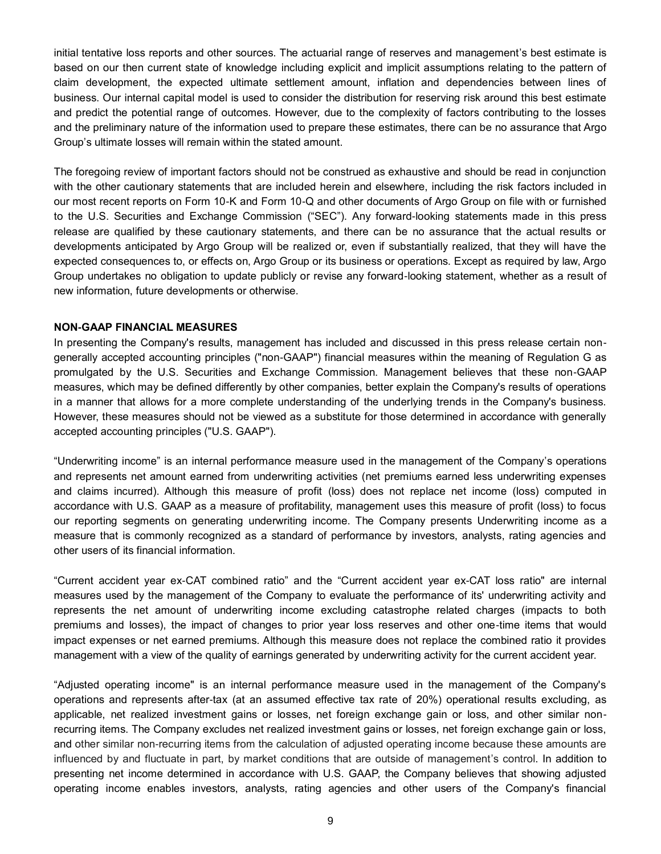initial tentative loss reports and other sources. The actuarial range of reserves and management's best estimate is based on our then current state of knowledge including explicit and implicit assumptions relating to the pattern of claim development, the expected ultimate settlement amount, inflation and dependencies between lines of business. Our internal capital model is used to consider the distribution for reserving risk around this best estimate and predict the potential range of outcomes. However, due to the complexity of factors contributing to the losses and the preliminary nature of the information used to prepare these estimates, there can be no assurance that Argo Group's ultimate losses will remain within the stated amount.

The foregoing review of important factors should not be construed as exhaustive and should be read in conjunction with the other cautionary statements that are included herein and elsewhere, including the risk factors included in our most recent reports on Form 10-K and Form 10-Q and other documents of Argo Group on file with or furnished to the U.S. Securities and Exchange Commission ("SEC"). Any forward-looking statements made in this press release are qualified by these cautionary statements, and there can be no assurance that the actual results or developments anticipated by Argo Group will be realized or, even if substantially realized, that they will have the expected consequences to, or effects on, Argo Group or its business or operations. Except as required by law, Argo Group undertakes no obligation to update publicly or revise any forward-looking statement, whether as a result of new information, future developments or otherwise.

#### **NON-GAAP FINANCIAL MEASURES**

In presenting the Company's results, management has included and discussed in this press release certain nongenerally accepted accounting principles ("non-GAAP") financial measures within the meaning of Regulation G as promulgated by the U.S. Securities and Exchange Commission. Management believes that these non-GAAP measures, which may be defined differently by other companies, better explain the Company's results of operations in a manner that allows for a more complete understanding of the underlying trends in the Company's business. However, these measures should not be viewed as a substitute for those determined in accordance with generally accepted accounting principles ("U.S. GAAP").

"Underwriting income" is an internal performance measure used in the management of the Company's operations and represents net amount earned from underwriting activities (net premiums earned less underwriting expenses and claims incurred). Although this measure of profit (loss) does not replace net income (loss) computed in accordance with U.S. GAAP as a measure of profitability, management uses this measure of profit (loss) to focus our reporting segments on generating underwriting income. The Company presents Underwriting income as a measure that is commonly recognized as a standard of performance by investors, analysts, rating agencies and other users of its financial information.

"Current accident year ex-CAT combined ratio" and the "Current accident year ex-CAT loss ratio" are internal measures used by the management of the Company to evaluate the performance of its' underwriting activity and represents the net amount of underwriting income excluding catastrophe related charges (impacts to both premiums and losses), the impact of changes to prior year loss reserves and other one-time items that would impact expenses or net earned premiums. Although this measure does not replace the combined ratio it provides management with a view of the quality of earnings generated by underwriting activity for the current accident year.

"Adjusted operating income" is an internal performance measure used in the management of the Company's operations and represents after-tax (at an assumed effective tax rate of 20%) operational results excluding, as applicable, net realized investment gains or losses, net foreign exchange gain or loss, and other similar nonrecurring items. The Company excludes net realized investment gains or losses, net foreign exchange gain or loss, and other similar non-recurring items from the calculation of adjusted operating income because these amounts are influenced by and fluctuate in part, by market conditions that are outside of management's control. In addition to presenting net income determined in accordance with U.S. GAAP, the Company believes that showing adjusted operating income enables investors, analysts, rating agencies and other users of the Company's financial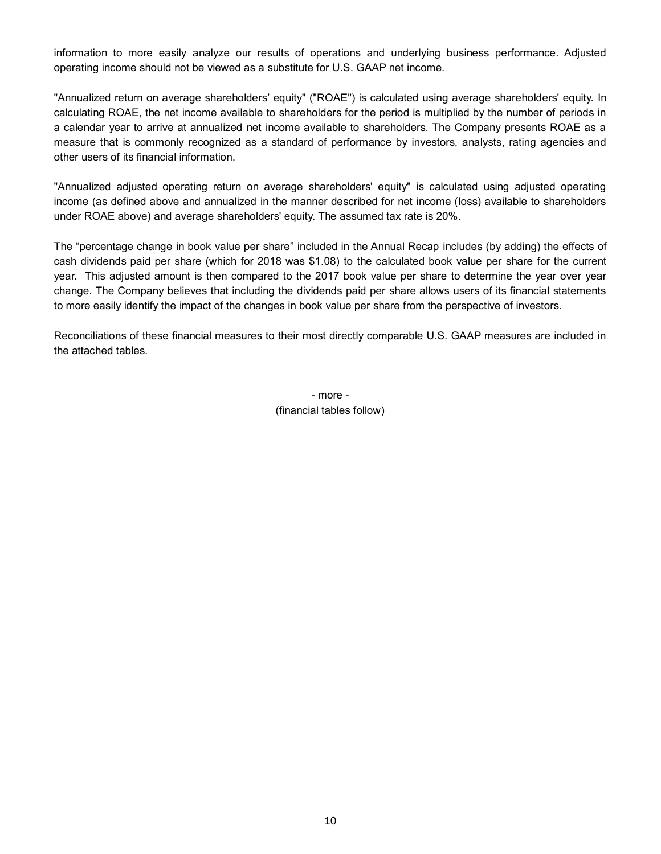information to more easily analyze our results of operations and underlying business performance. Adjusted operating income should not be viewed as a substitute for U.S. GAAP net income.

"Annualized return on average shareholders' equity" ("ROAE") is calculated using average shareholders' equity. In calculating ROAE, the net income available to shareholders for the period is multiplied by the number of periods in a calendar year to arrive at annualized net income available to shareholders. The Company presents ROAE as a measure that is commonly recognized as a standard of performance by investors, analysts, rating agencies and other users of its financial information.

"Annualized adjusted operating return on average shareholders' equity" is calculated using adjusted operating income (as defined above and annualized in the manner described for net income (loss) available to shareholders under ROAE above) and average shareholders' equity. The assumed tax rate is 20%.

The "percentage change in book value per share" included in the Annual Recap includes (by adding) the effects of cash dividends paid per share (which for 2018 was \$1.08) to the calculated book value per share for the current year. This adjusted amount is then compared to the 2017 book value per share to determine the year over year change. The Company believes that including the dividends paid per share allows users of its financial statements to more easily identify the impact of the changes in book value per share from the perspective of investors.

Reconciliations of these financial measures to their most directly comparable U.S. GAAP measures are included in the attached tables.

> - more - (financial tables follow)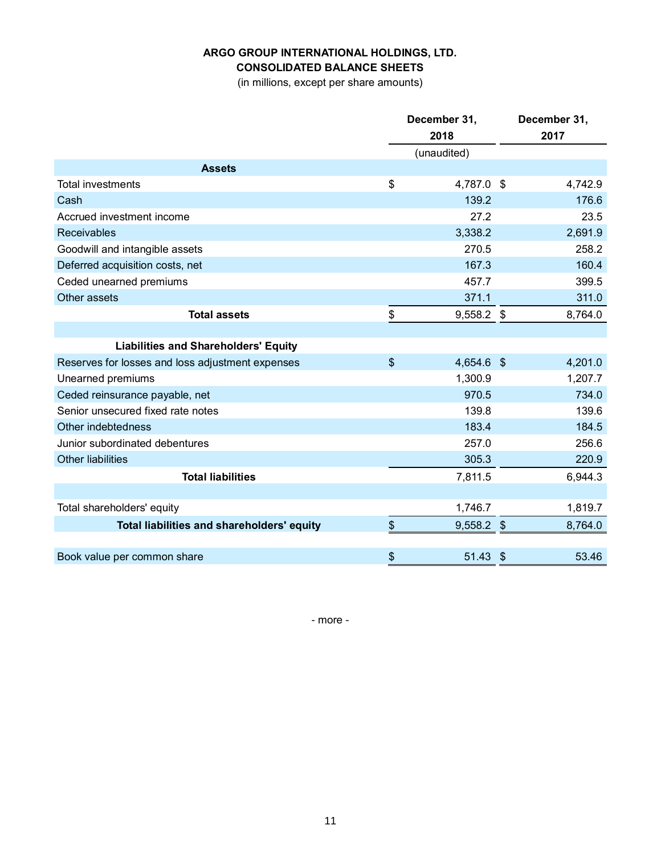# **ARGO GROUP INTERNATIONAL HOLDINGS, LTD. CONSOLIDATED BALANCE SHEETS**

(in millions, except per share amounts)

|                                                  | December 31,      | December 31, |                         |
|--------------------------------------------------|-------------------|--------------|-------------------------|
|                                                  |                   | 2018         | 2017                    |
|                                                  |                   | (unaudited)  |                         |
| <b>Assets</b>                                    |                   |              |                         |
| <b>Total investments</b>                         | \$                | 4,787.0 \$   | 4,742.9                 |
| Cash                                             |                   | 139.2        | 176.6                   |
| Accrued investment income                        |                   | 27.2         | 23.5                    |
| <b>Receivables</b>                               |                   | 3,338.2      | 2,691.9                 |
| Goodwill and intangible assets                   |                   | 270.5        | 258.2                   |
| Deferred acquisition costs, net                  |                   | 167.3        | 160.4                   |
| Ceded unearned premiums                          |                   | 457.7        | 399.5                   |
| Other assets                                     |                   | 371.1        | 311.0                   |
| <b>Total assets</b>                              | \$                | 9,558.2 \$   | 8,764.0                 |
|                                                  |                   |              |                         |
| <b>Liabilities and Shareholders' Equity</b>      |                   |              |                         |
| Reserves for losses and loss adjustment expenses | $\$\$             | 4,654.6 \$   | 4,201.0                 |
| Unearned premiums                                |                   | 1,300.9      | 1,207.7                 |
| Ceded reinsurance payable, net                   |                   | 970.5        | 734.0                   |
| Senior unsecured fixed rate notes                |                   | 139.8        | 139.6                   |
| Other indebtedness                               |                   | 183.4        | 184.5                   |
| Junior subordinated debentures                   |                   | 257.0        | 256.6                   |
| <b>Other liabilities</b>                         |                   | 305.3        | 220.9                   |
| <b>Total liabilities</b>                         |                   | 7,811.5      | 6,944.3                 |
|                                                  |                   |              |                         |
| Total shareholders' equity                       |                   | 1,746.7      | 1,819.7                 |
| Total liabilities and shareholders' equity       | $\boldsymbol{\$}$ | 9,558.2 \$   | 8,764.0                 |
|                                                  |                   |              |                         |
| Book value per common share                      | \$                | 51.43        | $\mathfrak{F}$<br>53.46 |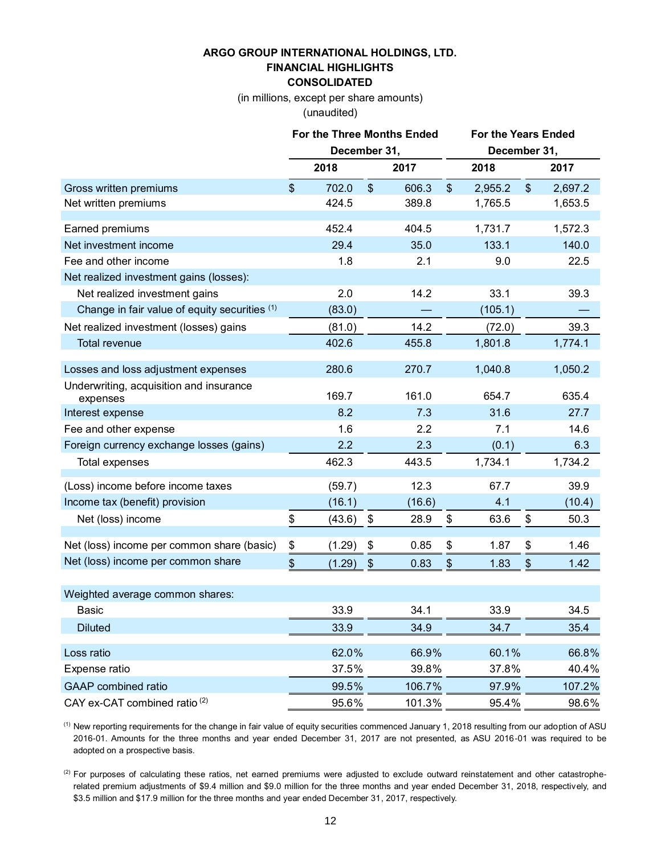# **ARGO GROUP INTERNATIONAL HOLDINGS, LTD. FINANCIAL HIGHLIGHTS**

**CONSOLIDATED**

(in millions, except per share amounts)

(unaudited)

| December 31,<br>December 31,<br>2018<br>2018<br>2017<br>2017<br>\$<br>702.0<br>$\sqrt[6]{\frac{1}{2}}$<br>606.3<br>$\frac{2}{3}$<br>2,955.2<br>$\frac{1}{2}$<br>Gross written premiums<br>2,697.2<br>Net written premiums<br>424.5<br>389.8<br>1,765.5<br>1,653.5 |  |
|-------------------------------------------------------------------------------------------------------------------------------------------------------------------------------------------------------------------------------------------------------------------|--|
|                                                                                                                                                                                                                                                                   |  |
|                                                                                                                                                                                                                                                                   |  |
|                                                                                                                                                                                                                                                                   |  |
|                                                                                                                                                                                                                                                                   |  |
| 452.4<br>Earned premiums<br>404.5<br>1,731.7<br>1,572.3                                                                                                                                                                                                           |  |
| Net investment income<br>29.4<br>133.1<br>35.0<br>140.0                                                                                                                                                                                                           |  |
| Fee and other income<br>1.8<br>2.1<br>9.0<br>22.5                                                                                                                                                                                                                 |  |
| Net realized investment gains (losses):                                                                                                                                                                                                                           |  |
| 33.1<br>Net realized investment gains<br>2.0<br>14.2<br>39.3                                                                                                                                                                                                      |  |
| Change in fair value of equity securities (1)<br>(83.0)<br>(105.1)                                                                                                                                                                                                |  |
| 14.2<br>39.3<br>Net realized investment (losses) gains<br>(81.0)<br>(72.0)                                                                                                                                                                                        |  |
| Total revenue<br>402.6<br>455.8<br>1,801.8<br>1,774.1                                                                                                                                                                                                             |  |
| 280.6<br>270.7<br>1,040.8<br>1,050.2<br>Losses and loss adjustment expenses                                                                                                                                                                                       |  |
| Underwriting, acquisition and insurance<br>169.7<br>161.0<br>635.4<br>654.7<br>expenses                                                                                                                                                                           |  |
| 8.2<br>7.3<br>31.6<br>27.7<br>Interest expense                                                                                                                                                                                                                    |  |
| 1.6<br>2.2<br>7.1<br>14.6<br>Fee and other expense                                                                                                                                                                                                                |  |
| Foreign currency exchange losses (gains)<br>2.2<br>2.3<br>(0.1)<br>6.3                                                                                                                                                                                            |  |
| 1,734.1<br>462.3<br>443.5<br>1,734.2<br><b>Total expenses</b>                                                                                                                                                                                                     |  |
| 39.9<br>(59.7)<br>12.3<br>67.7<br>(Loss) income before income taxes                                                                                                                                                                                               |  |
| Income tax (benefit) provision<br>(16.1)<br>(16.6)<br>4.1<br>(10.4)                                                                                                                                                                                               |  |
| \$<br>28.9<br>\$<br>50.3<br>Net (loss) income<br>(43.6)<br>\$<br>63.6<br>\$                                                                                                                                                                                       |  |
| \$<br>\$<br>0.85<br>\$<br>\$<br>1.46<br>Net (loss) income per common share (basic)<br>(1.29)<br>1.87                                                                                                                                                              |  |
| Net (loss) income per common share<br>\$<br>$\,$<br>(1.29)<br>$\frac{1}{2}$<br>\$<br>1.42<br>0.83<br>1.83                                                                                                                                                         |  |
| Weighted average common shares:                                                                                                                                                                                                                                   |  |
| 33.9<br>34.1<br>33.9<br>34.5<br>Basic                                                                                                                                                                                                                             |  |
| <b>Diluted</b><br>33.9<br>34.9<br>34.7<br>35.4                                                                                                                                                                                                                    |  |
| Loss ratio<br>62.0%<br>66.9%<br>60.1%<br>66.8%                                                                                                                                                                                                                    |  |
| Expense ratio<br>37.5%<br>39.8%<br>37.8%<br>40.4%                                                                                                                                                                                                                 |  |
| <b>GAAP</b> combined ratio<br>99.5%<br>106.7%<br>97.9%<br>107.2%                                                                                                                                                                                                  |  |
| CAY ex-CAT combined ratio <sup>(2)</sup><br>95.6%<br>101.3%<br>95.4%<br>98.6%                                                                                                                                                                                     |  |

(1) New reporting requirements for the change in fair value of equity securities commenced January 1, 2018 resulting from our adoption of ASU 2016-01. Amounts for the three months and year ended December 31, 2017 are not presented, as ASU 2016-01 was required to be adopted on a prospective basis.

 $(2)$  For purposes of calculating these ratios, net earned premiums were adjusted to exclude outward reinstatement and other catastropherelated premium adjustments of \$9.4 million and \$9.0 million for the three months and year ended December 31, 2018, respectively, and \$3.5 million and \$17.9 million for the three months and year ended December 31, 2017, respectively.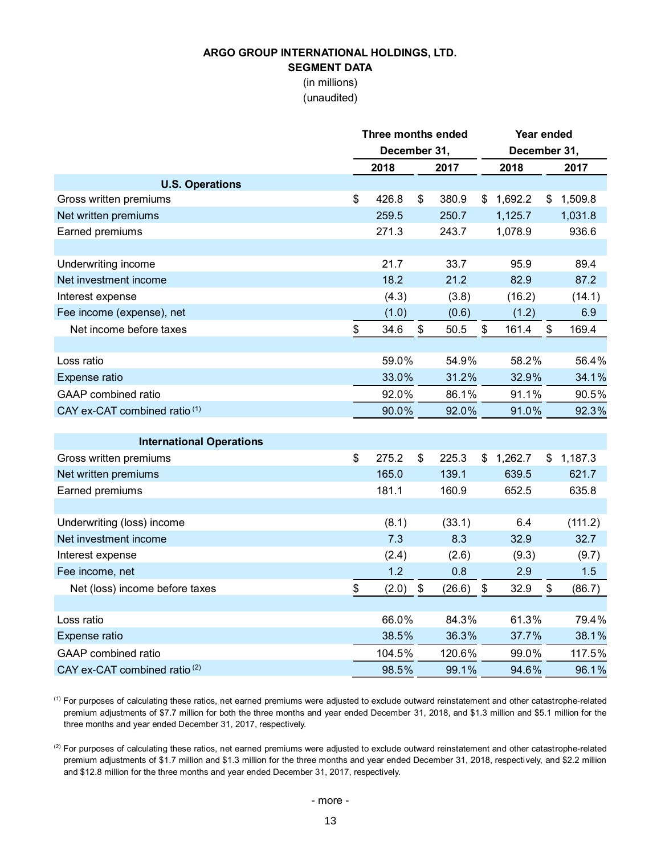#### **ARGO GROUP INTERNATIONAL HOLDINGS, LTD. SEGMENT DATA**

(in millions) (unaudited)

|                                          | <b>Three months ended</b> |              |               |        | Year ended |              |               |         |  |
|------------------------------------------|---------------------------|--------------|---------------|--------|------------|--------------|---------------|---------|--|
|                                          |                           | December 31, |               |        |            | December 31, |               |         |  |
|                                          |                           | 2018         |               | 2017   |            | 2018         |               | 2017    |  |
| <b>U.S. Operations</b>                   |                           |              |               |        |            |              |               |         |  |
| Gross written premiums                   | \$                        | 426.8        | \$            | 380.9  | \$         | 1,692.2      | $\frac{1}{2}$ | 1,509.8 |  |
| Net written premiums                     |                           | 259.5        |               | 250.7  |            | 1,125.7      |               | 1,031.8 |  |
| Earned premiums                          |                           | 271.3        |               | 243.7  |            | 1,078.9      |               | 936.6   |  |
|                                          |                           |              |               |        |            |              |               |         |  |
| Underwriting income                      |                           | 21.7         |               | 33.7   |            | 95.9         |               | 89.4    |  |
| Net investment income                    |                           | 18.2         |               | 21.2   |            | 82.9         |               | 87.2    |  |
| Interest expense                         |                           | (4.3)        |               | (3.8)  |            | (16.2)       |               | (14.1)  |  |
| Fee income (expense), net                |                           | (1.0)        |               | (0.6)  |            | (1.2)        |               | 6.9     |  |
| Net income before taxes                  | \$                        | 34.6         | \$            | 50.5   | \$         | 161.4        | \$            | 169.4   |  |
|                                          |                           |              |               |        |            |              |               |         |  |
| Loss ratio                               |                           | 59.0%        |               | 54.9%  |            | 58.2%        |               | 56.4%   |  |
| Expense ratio                            |                           | 33.0%        |               | 31.2%  |            | 32.9%        |               | 34.1%   |  |
| GAAP combined ratio                      |                           | 92.0%        |               | 86.1%  |            | 91.1%        |               | 90.5%   |  |
| CAY ex-CAT combined ratio <sup>(1)</sup> |                           | 90.0%        |               | 92.0%  |            | 91.0%        |               | 92.3%   |  |
|                                          |                           |              |               |        |            |              |               |         |  |
| <b>International Operations</b>          |                           |              |               |        |            |              |               |         |  |
| Gross written premiums                   | \$                        | 275.2        | \$            | 225.3  | \$         | 1,262.7      | \$            | 1,187.3 |  |
| Net written premiums                     |                           | 165.0        |               | 139.1  |            | 639.5        |               | 621.7   |  |
| Earned premiums                          |                           | 181.1        |               | 160.9  |            | 652.5        |               | 635.8   |  |
|                                          |                           |              |               |        |            |              |               |         |  |
| Underwriting (loss) income               |                           | (8.1)        |               | (33.1) |            | 6.4          |               | (111.2) |  |
| Net investment income                    |                           | 7.3          |               | 8.3    |            | 32.9         |               | 32.7    |  |
| Interest expense                         |                           | (2.4)        |               | (2.6)  |            | (9.3)        |               | (9.7)   |  |
| Fee income, net                          |                           | 1.2          |               | 0.8    |            | 2.9          |               | 1.5     |  |
| Net (loss) income before taxes           | \$                        | (2.0)        | $\sqrt[6]{3}$ | (26.6) | \$         | 32.9         | \$            | (86.7)  |  |
|                                          |                           |              |               |        |            |              |               |         |  |
| Loss ratio                               |                           | 66.0%        |               | 84.3%  |            | 61.3%        |               | 79.4%   |  |
| Expense ratio                            |                           | 38.5%        |               | 36.3%  |            | 37.7%        |               | 38.1%   |  |
| GAAP combined ratio                      |                           | 104.5%       |               | 120.6% |            | 99.0%        |               | 117.5%  |  |
| CAY ex-CAT combined ratio <sup>(2)</sup> |                           | 98.5%        |               | 99.1%  |            | 94.6%        |               | 96.1%   |  |

(1) For purposes of calculating these ratios, net earned premiums were adjusted to exclude outward reinstatement and other catastrophe-related premium adjustments of \$7.7 million for both the three months and year ended December 31, 2018, and \$1.3 million and \$5.1 million for the three months and year ended December 31, 2017, respectively.

(2) For purposes of calculating these ratios, net earned premiums were adjusted to exclude outward reinstatement and other catastrophe-related premium adjustments of \$1.7 million and \$1.3 million for the three months and year ended December 31, 2018, respectively, and \$2.2 million and \$12.8 million for the three months and year ended December 31, 2017, respectively.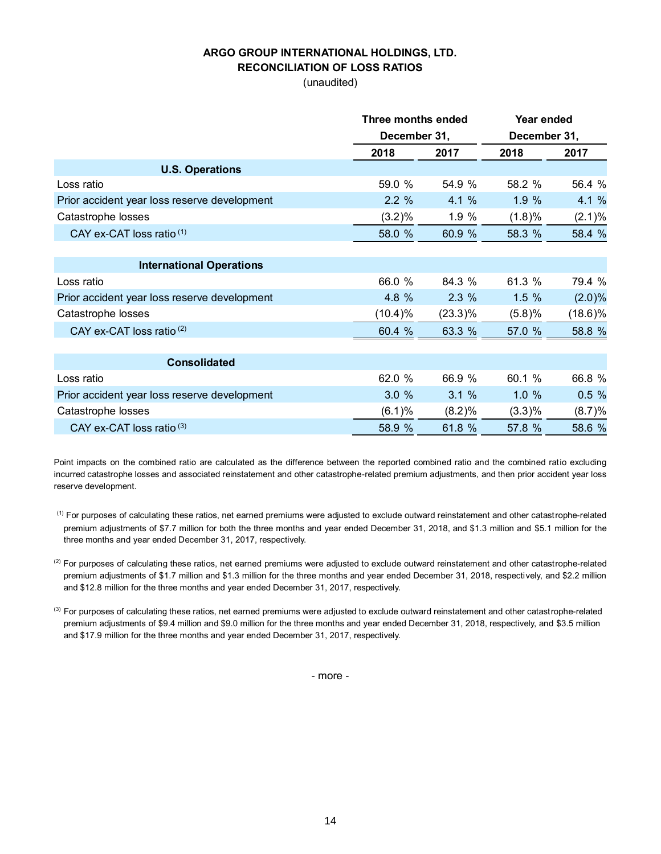### **ARGO GROUP INTERNATIONAL HOLDINGS, LTD. RECONCILIATION OF LOSS RATIOS**

(unaudited)

|                                              |              | Three months ended |              | Year ended |
|----------------------------------------------|--------------|--------------------|--------------|------------|
|                                              | December 31, |                    | December 31, |            |
|                                              | 2018         | 2017               | 2018         | 2017       |
| <b>U.S. Operations</b>                       |              |                    |              |            |
| Loss ratio                                   | 59.0 %       | 54.9 %             | 58.2 %       | 56.4 %     |
| Prior accident year loss reserve development | 2.2%         | 4.1%               | 1.9 %        | 4.1 %      |
| Catastrophe losses                           | (3.2)%       | 1.9%               | (1.8)%       | (2.1)%     |
| CAY ex-CAT loss ratio <sup>(1)</sup>         | 58.0 %       | 60.9 %             | 58.3 %       | 58.4 %     |
|                                              |              |                    |              |            |
| <b>International Operations</b>              |              |                    |              |            |
| Loss ratio                                   | 66.0 %       | 84.3 %             | 61.3 %       | 79.4 %     |
| Prior accident year loss reserve development | 4.8 %        | 2.3%               | 1.5%         | (2.0)%     |
| Catastrophe losses                           | $(10.4)\%$   | $(23.3)\%$         | (5.8)%       | $(18.6)\%$ |
| CAY ex-CAT loss ratio <sup>(2)</sup>         | 60.4 %       | 63.3 %             | 57.0 %       | 58.8 %     |
|                                              |              |                    |              |            |
| <b>Consolidated</b>                          |              |                    |              |            |
| Loss ratio                                   | 62.0 %       | 66.9 %             | 60.1 %       | 66.8 %     |
| Prior accident year loss reserve development | 3.0%         | 3.1%               | 1.0%         | 0.5%       |
| Catastrophe losses                           | (6.1)%       | (8.2)%             | (3.3)%       | (8.7)%     |
| CAY ex-CAT loss ratio (3)                    | 58.9 %       | 61.8 %             | 57.8 %       | 58.6 %     |

Point impacts on the combined ratio are calculated as the difference between the reported combined ratio and the combined ratio excluding incurred catastrophe losses and associated reinstatement and other catastrophe-related premium adjustments, and then prior accident year loss reserve development.

- (1) For purposes of calculating these ratios, net earned premiums were adjusted to exclude outward reinstatement and other catastrophe-related premium adjustments of \$7.7 million for both the three months and year ended December 31, 2018, and \$1.3 million and \$5.1 million for the three months and year ended December 31, 2017, respectively.
- (2) For purposes of calculating these ratios, net earned premiums were adjusted to exclude outward reinstatement and other catastrophe-related premium adjustments of \$1.7 million and \$1.3 million for the three months and year ended December 31, 2018, respectively, and \$2.2 million and \$12.8 million for the three months and year ended December 31, 2017, respectively.
- <sup>(3)</sup> For purposes of calculating these ratios, net earned premiums were adjusted to exclude outward reinstatement and other catastrophe-related premium adjustments of \$9.4 million and \$9.0 million for the three months and year ended December 31, 2018, respectively, and \$3.5 million and \$17.9 million for the three months and year ended December 31, 2017, respectively.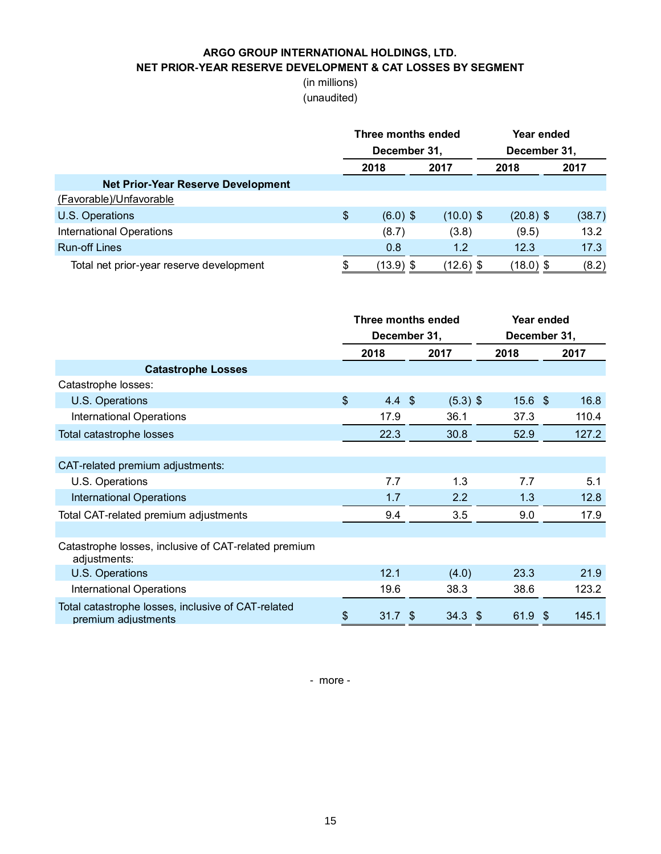## **ARGO GROUP INTERNATIONAL HOLDINGS, LTD. NET PRIOR-YEAR RESERVE DEVELOPMENT & CAT LOSSES BY SEGMENT**

# (in millions) (unaudited)

|                                           | Three months ended<br>December 31, |             |             | Year ended<br>December 31, |        |  |
|-------------------------------------------|------------------------------------|-------------|-------------|----------------------------|--------|--|
|                                           |                                    | 2018        | 2017        | 2018                       | 2017   |  |
| <b>Net Prior-Year Reserve Development</b> |                                    |             |             |                            |        |  |
| (Favorable)/Unfavorable                   |                                    |             |             |                            |        |  |
| U.S. Operations                           | \$                                 | $(6.0)$ \$  | $(10.0)$ \$ | $(20.8)$ \$                | (38.7) |  |
| <b>International Operations</b>           |                                    | (8.7)       | (3.8)       | (9.5)                      | 13.2   |  |
| <b>Run-off Lines</b>                      |                                    | 0.8         | 1.2         | 12.3                       | 17.3   |  |
| Total net prior-year reserve development  |                                    | $(13.9)$ \$ | $(12.6)$ \$ | $(18.0)$ \$                | (8.2)  |  |

|                                                                           | Three months ended |                  |     |            |  | Year ended        |      |       |  |
|---------------------------------------------------------------------------|--------------------|------------------|-----|------------|--|-------------------|------|-------|--|
|                                                                           | December 31,       |                  |     |            |  | December 31,      |      |       |  |
|                                                                           |                    | 2018             |     | 2017       |  | 2018              |      | 2017  |  |
| <b>Catastrophe Losses</b>                                                 |                    |                  |     |            |  |                   |      |       |  |
| Catastrophe losses:                                                       |                    |                  |     |            |  |                   |      |       |  |
| U.S. Operations                                                           | \$                 | $4.4 \text{ } $$ |     | $(5.3)$ \$ |  | 15.6 <sup>5</sup> |      | 16.8  |  |
| <b>International Operations</b>                                           |                    | 17.9             |     | 36.1       |  | 37.3              |      | 110.4 |  |
| Total catastrophe losses                                                  |                    | 22.3             |     | 30.8       |  | 52.9              |      | 127.2 |  |
|                                                                           |                    |                  |     |            |  |                   |      |       |  |
| CAT-related premium adjustments:                                          |                    |                  |     |            |  |                   |      |       |  |
| U.S. Operations                                                           |                    | 7.7              |     | 1.3        |  | 7.7               |      | 5.1   |  |
| <b>International Operations</b>                                           |                    | 1.7              |     | 2.2        |  | 1.3               |      | 12.8  |  |
| Total CAT-related premium adjustments                                     |                    | 9.4              |     | 3.5        |  | 9.0               |      | 17.9  |  |
|                                                                           |                    |                  |     |            |  |                   |      |       |  |
| Catastrophe losses, inclusive of CAT-related premium<br>adjustments:      |                    |                  |     |            |  |                   |      |       |  |
| U.S. Operations                                                           |                    | 12.1             |     | (4.0)      |  | 23.3              |      | 21.9  |  |
| <b>International Operations</b>                                           |                    | 19.6             |     | 38.3       |  | 38.6              |      | 123.2 |  |
| Total catastrophe losses, inclusive of CAT-related<br>premium adjustments | \$                 | 31.7             | -\$ | $34.3$ \$  |  | 61.9              | - \$ | 145.1 |  |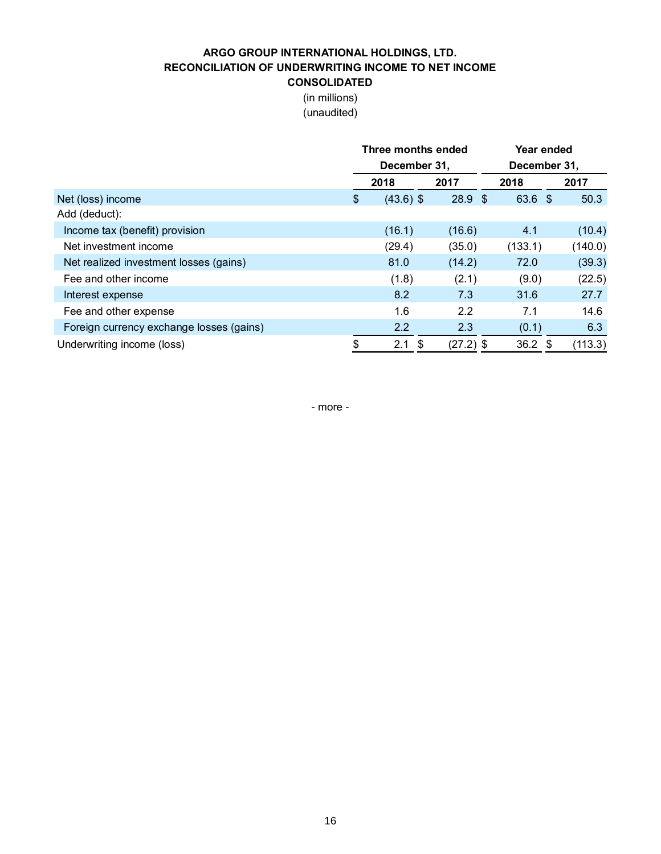# **ARGO GROUP INTERNATIONAL HOLDINGS, LTD. RECONCILIATION OF UNDERWRITING INCOME TO NET INCOME**

**CONSOLIDATED** (in millions)

(unaudited)

|                                          | Three months ended | Year ended  |              |         |  |  |
|------------------------------------------|--------------------|-------------|--------------|---------|--|--|
|                                          | December 31,       |             | December 31, |         |  |  |
|                                          | 2018               | 2017        | 2018         | 2017    |  |  |
| Net (loss) income                        | \$<br>$(43.6)$ \$  | $28.9$ \$   | 63.6 \$      | 50.3    |  |  |
| Add (deduct):                            |                    |             |              |         |  |  |
| Income tax (benefit) provision           | (16.1)             | (16.6)      | 4.1          | (10.4)  |  |  |
| Net investment income                    | (29.4)             | (35.0)      | (133.1)      | (140.0) |  |  |
| Net realized investment losses (gains)   | 81.0               | (14.2)      | 72.0         | (39.3)  |  |  |
| Fee and other income                     | (1.8)              | (2.1)       | (9.0)        | (22.5)  |  |  |
| Interest expense                         | 8.2                | 7.3         | 31.6         | 27.7    |  |  |
| Fee and other expense                    | 1.6                | 2.2         | 7.1          | 14.6    |  |  |
| Foreign currency exchange losses (gains) | 2.2                | 2.3         | (0.1)        | 6.3     |  |  |
| Underwriting income (loss)               | \$<br>2.1<br>- \$  | $(27.2)$ \$ | $36.2$ \$    | (113.3) |  |  |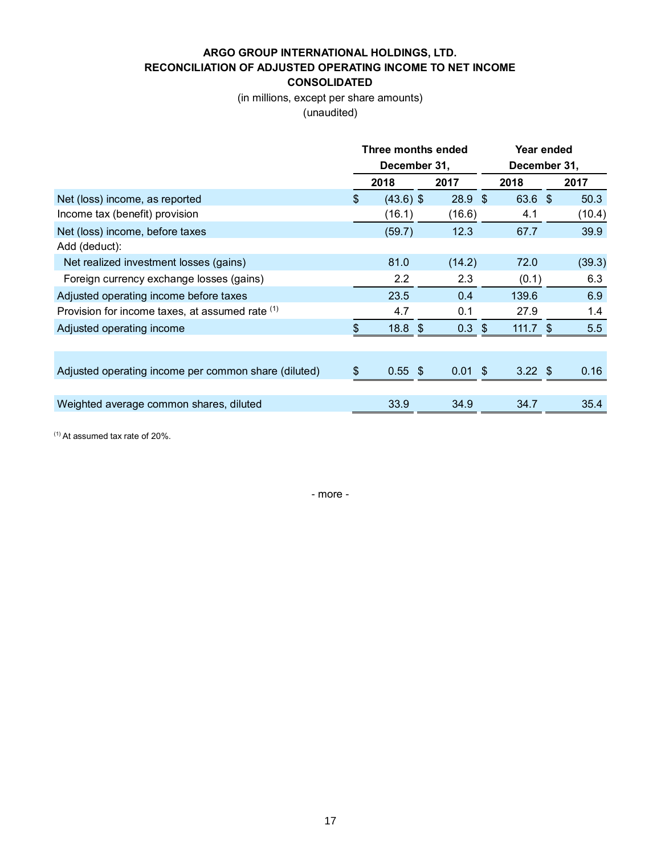# **ARGO GROUP INTERNATIONAL HOLDINGS, LTD. RECONCILIATION OF ADJUSTED OPERATING INCOME TO NET INCOME**

**CONSOLIDATED**

(in millions, except per share amounts)

(unaudited)

|                                                      | Three months ended |                   |  |           |              | Year ended |  |        |  |  |
|------------------------------------------------------|--------------------|-------------------|--|-----------|--------------|------------|--|--------|--|--|
|                                                      | December 31,       |                   |  |           | December 31, |            |  |        |  |  |
|                                                      |                    | 2018              |  | 2017      |              | 2018       |  | 2017   |  |  |
| Net (loss) income, as reported                       | \$                 | $(43.6)$ \$       |  | 28.9 \$   |              | 63.6 \$    |  | 50.3   |  |  |
| Income tax (benefit) provision                       |                    | (16.1)            |  | (16.6)    |              | 4.1        |  | (10.4) |  |  |
| Net (loss) income, before taxes                      |                    | (59.7)            |  | 12.3      |              | 67.7       |  | 39.9   |  |  |
| Add (deduct):                                        |                    |                   |  |           |              |            |  |        |  |  |
| Net realized investment losses (gains)               |                    | 81.0              |  | (14.2)    |              | 72.0       |  | (39.3) |  |  |
| Foreign currency exchange losses (gains)             |                    | 2.2               |  | 2.3       |              | (0.1)      |  | 6.3    |  |  |
| Adjusted operating income before taxes               |                    | 23.5              |  | 0.4       |              | 139.6      |  | 6.9    |  |  |
| Provision for income taxes, at assumed rate (1)      |                    | 4.7               |  | 0.1       |              | 27.9       |  | 1.4    |  |  |
| Adjusted operating income                            | \$                 | 18.8 <sup>°</sup> |  | $0.3$ \$  |              | $111.7$ \$ |  | 5.5    |  |  |
|                                                      |                    |                   |  |           |              |            |  |        |  |  |
|                                                      |                    |                   |  |           |              |            |  |        |  |  |
| Adjusted operating income per common share (diluted) | \$                 | $0.55$ \$         |  | $0.01$ \$ |              | $3.22$ \$  |  | 0.16   |  |  |
|                                                      |                    |                   |  |           |              |            |  |        |  |  |
| Weighted average common shares, diluted              |                    | 33.9              |  | 34.9      |              | 34.7       |  | 35.4   |  |  |

 $(1)$  At assumed tax rate of 20%.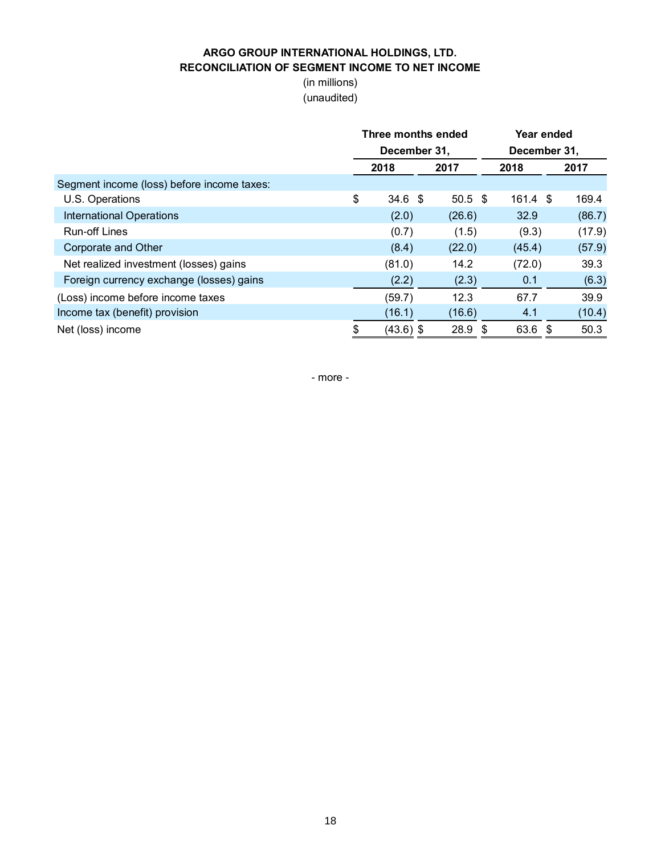## **ARGO GROUP INTERNATIONAL HOLDINGS, LTD. RECONCILIATION OF SEGMENT INCOME TO NET INCOME**

(in millions) (unaudited)

|                                            | Three months ended<br>December 31. |            | Year ended<br>December 31. |        |  |
|--------------------------------------------|------------------------------------|------------|----------------------------|--------|--|
|                                            | 2018                               | 2017       | 2018                       | 2017   |  |
| Segment income (loss) before income taxes: |                                    |            |                            |        |  |
| U.S. Operations                            | \$<br>34.6 <sup>5</sup>            | $50.5$ \$  | $161.4$ \$                 | 169.4  |  |
| <b>International Operations</b>            | (2.0)                              | (26.6)     | 32.9                       | (86.7) |  |
| <b>Run-off Lines</b>                       | (0.7)                              | (1.5)      | (9.3)                      | (17.9) |  |
| Corporate and Other                        | (8.4)                              | (22.0)     | (45.4)                     | (57.9) |  |
| Net realized investment (losses) gains     | (81.0)                             | 14.2       | (72.0)                     | 39.3   |  |
| Foreign currency exchange (losses) gains   | (2.2)                              | (2.3)      | 0.1                        | (6.3)  |  |
| (Loss) income before income taxes          | (59.7)                             | 12.3       | 67.7                       | 39.9   |  |
| Income tax (benefit) provision             | (16.1)                             | (16.6)     | 4.1                        | (10.4) |  |
| Net (loss) income                          | \$<br>$(43.6)$ \$                  | 28.9<br>-S | 63.6<br>\$                 | 50.3   |  |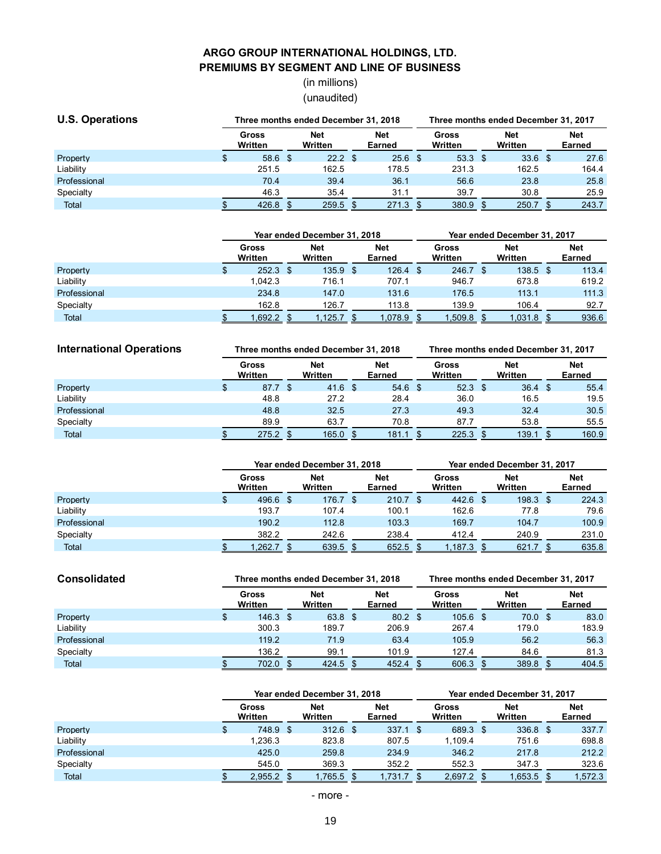## **ARGO GROUP INTERNATIONAL HOLDINGS, LTD. PREMIUMS BY SEGMENT AND LINE OF BUSINESS**

## (in millions) (unaudited)

| <b>U.S. Operations</b> |     | Three months ended December 31, 2018 |  |                   |  |                      | Three months ended December 31, 2017 |  |                       |  |                      |  |
|------------------------|-----|--------------------------------------|--|-------------------|--|----------------------|--------------------------------------|--|-----------------------|--|----------------------|--|
|                        |     | Gross<br>Written                     |  | Net<br>Written    |  | <b>Net</b><br>Earned | Gross<br>Written                     |  | <b>Net</b><br>Written |  | <b>Net</b><br>Earned |  |
| Property               | \$. | 58.6 <sup>3</sup>                    |  | 22.2 <sup>5</sup> |  | 25.6 <sup>5</sup>    | $53.3$ \$                            |  | $33.6$ \$             |  | 27.6                 |  |
| Liability              |     | 251.5                                |  | 162.5             |  | 178.5                | 231.3                                |  | 162.5                 |  | 164.4                |  |
| Professional           |     | 70.4                                 |  | 39.4              |  | 36.1                 | 56.6                                 |  | 23.8                  |  | 25.8                 |  |
| Specialty              |     | 46.3                                 |  | 35.4              |  | 31.1                 | 39.7                                 |  | 30.8                  |  | 25.9                 |  |
| <b>Total</b>           |     | 426.8                                |  | 259.5             |  | 271.3                | 380.9                                |  | 250.7                 |  | 243.7                |  |

|              |   | Year ended December 31, 2018 |      |                       |  |               |  | Year ended December 31, 2017 |  |                |  |               |  |
|--------------|---|------------------------------|------|-----------------------|--|---------------|--|------------------------------|--|----------------|--|---------------|--|
|              |   | Gross<br>Written             |      | <b>Net</b><br>Written |  | Net<br>Earned |  | Gross<br>Written             |  | Net<br>Written |  | Net<br>Earned |  |
| Property     | Ъ | 252.3                        | - \$ | $135.9$ \$            |  | 126.4         |  | 246.7                        |  | $138.5$ \$     |  | 113.4         |  |
| Liability    |   | 1.042.3                      |      | 716.1                 |  | 707.1         |  | 946.7                        |  | 673.8          |  | 619.2         |  |
| Professional |   | 234.8                        |      | 147.0                 |  | 131.6         |  | 176.5                        |  | 113.1          |  | 111.3         |  |
| Specialty    |   | 162.8                        |      | 126.7                 |  | 113.8         |  | 139.9                        |  | 106.4          |  | 92.7          |  |
| <b>Total</b> |   | ,692.2                       |      | ,125.7                |  | 1,078.9       |  | 1,509.8                      |  | 1,031.8        |  | 936.6         |  |

| <b>International Operations</b> |  |                  | Three months ended December 31, 2018 |                       |  | Three months ended December 31, 2017 |  |                  |  |                       |  |                      |  |
|---------------------------------|--|------------------|--------------------------------------|-----------------------|--|--------------------------------------|--|------------------|--|-----------------------|--|----------------------|--|
|                                 |  | Gross<br>Written |                                      | <b>Net</b><br>Written |  | <b>Net</b><br>Earned                 |  | Gross<br>Written |  | <b>Net</b><br>Written |  | <b>Net</b><br>Earned |  |
| Property                        |  | 87.7             | S                                    | $41.6$ \$             |  | 54.6 <sup>°</sup>                    |  | $52.3$ \$        |  | 36.4 <sup>5</sup>     |  | 55.4                 |  |
| Liability                       |  | 48.8             |                                      | 27.2                  |  | 28.4                                 |  | 36.0             |  | 16.5                  |  | 19.5                 |  |
| Professional                    |  | 48.8             |                                      | 32.5                  |  | 27.3                                 |  | 49.3             |  | 32.4                  |  | 30.5                 |  |
| Specialty                       |  | 89.9             |                                      | 63.7                  |  | 70.8                                 |  | 87.7             |  | 53.8                  |  | 55.5                 |  |
| Total                           |  | 275.2            |                                      | 165.0                 |  | 181.1                                |  | 225.3            |  | 139.1                 |  | 160.9                |  |

|              | Year ended December 31, 2018 |  |                |      |                      | Year ended December 31, 2017 |                  |  |                |  |                      |
|--------------|------------------------------|--|----------------|------|----------------------|------------------------------|------------------|--|----------------|--|----------------------|
|              | Gross<br>Written             |  | Net<br>Written |      | <b>Net</b><br>Earned |                              | Gross<br>Written |  | Net<br>Written |  | <b>Net</b><br>Earned |
| Property     | 496.6 \$                     |  | 176.7          | - \$ | 210.7                | - \$                         | $442.6$ \$       |  | $198.3$ \$     |  | 224.3                |
| Liability    | 193.7                        |  | 107.4          |      | 100.1                |                              | 162.6            |  | 77.8           |  | 79.6                 |
| Professional | 190.2                        |  | 112.8          |      | 103.3                |                              | 169.7            |  | 104.7          |  | 100.9                |
| Specialty    | 382.2                        |  | 242.6          |      | 238.4                |                              | 412.4            |  | 240.9          |  | 231.0                |
| <b>Total</b> | 1.262.7                      |  | 639.5          |      | 652.5                |                              | 1,187.3          |  | 621.7          |  | 635.8                |

| <b>Consolidated</b> | Three months ended December 31, 2018 |                  |  |                       |  |                      |          | Three months ended December 31, 2017 |  |                       |  |                      |
|---------------------|--------------------------------------|------------------|--|-----------------------|--|----------------------|----------|--------------------------------------|--|-----------------------|--|----------------------|
|                     |                                      | Gross<br>Written |  | <b>Net</b><br>Written |  | <b>Net</b><br>Earned |          | Gross<br>Written                     |  | <b>Net</b><br>Written |  | <b>Net</b><br>Earned |
| Property            |                                      | $146.3$ \$       |  | 63.8 \$               |  | 80.2                 | <b>S</b> | $105.6$ \$                           |  | 70.0 S                |  | 83.0                 |
| Liability           |                                      | 300.3            |  | 189.7                 |  | 206.9                |          | 267.4                                |  | 179.0                 |  | 183.9                |
| Professional        |                                      | 119.2            |  | 71.9                  |  | 63.4                 |          | 105.9                                |  | 56.2                  |  | 56.3                 |
| Specialty           |                                      | 136.2            |  | 99.1                  |  | 101.9                |          | 127.4                                |  | 84.6                  |  | 81.3                 |
| Total               |                                      | 702.0            |  | 424.5                 |  | 452.4                |          | 606.3                                |  | 389.8                 |  | 404.5                |

|              |   | Year ended December 31, 2018 |  |                       |  |               | Year ended December 31, 2017 |                  |  |                       |  |                      |
|--------------|---|------------------------------|--|-----------------------|--|---------------|------------------------------|------------------|--|-----------------------|--|----------------------|
|              |   | Gross<br>Written             |  | <b>Net</b><br>Written |  | Net<br>Earned |                              | Gross<br>Written |  | <b>Net</b><br>Written |  | <b>Net</b><br>Earned |
| Property     | S | 748.9 \$                     |  | $312.6$ \$            |  | $337.1$ \$    |                              | 689.3 \$         |  | 336.8 \$              |  | 337.7                |
| Liability    |   | 1,236.3                      |  | 823.8                 |  | 807.5         |                              | 1.109.4          |  | 751.6                 |  | 698.8                |
| Professional |   | 425.0                        |  | 259.8                 |  | 234.9         |                              | 346.2            |  | 217.8                 |  | 212.2                |
| Specialty    |   | 545.0                        |  | 369.3                 |  | 352.2         |                              | 552.3            |  | 347.3                 |  | 323.6                |
| <b>Total</b> |   | 2,955.2                      |  | ,765.5                |  | 1,731.7       |                              | 2,697.2          |  | 1,653.5               |  | 1,572.3              |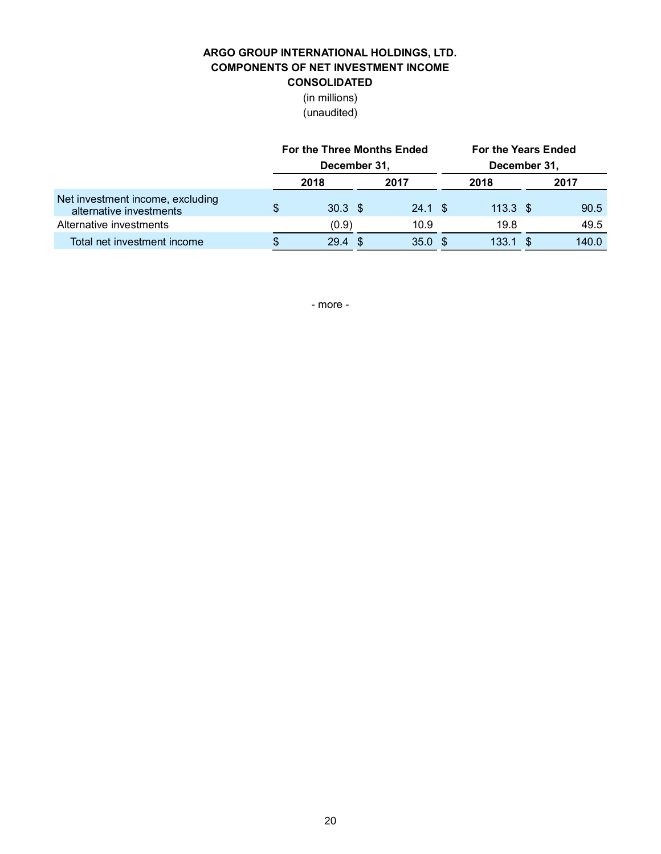## **ARGO GROUP INTERNATIONAL HOLDINGS, LTD. COMPONENTS OF NET INVESTMENT INCOME CONSOLIDATED**

(in millions)

(unaudited)

|                                                             |    | For the Three Months Ended |      |          | For the Years Ended<br>December 31, |                     |  |       |  |  |  |
|-------------------------------------------------------------|----|----------------------------|------|----------|-------------------------------------|---------------------|--|-------|--|--|--|
|                                                             |    | December 31,               |      |          |                                     |                     |  |       |  |  |  |
|                                                             |    | 2018                       | 2017 |          |                                     | 2018                |  | 2017  |  |  |  |
| Net investment income, excluding<br>alternative investments | \$ | 30.3 <sup>5</sup>          |      | 24.1 S   |                                     | $113.3 \text{ }$ \$ |  | 90.5  |  |  |  |
| Alternative investments                                     |    | (0.9)                      |      | 10.9     |                                     | 19.8                |  | 49.5  |  |  |  |
| Total net investment income                                 | S  | 29.4                       | - \$ | 35.0 $$$ |                                     | $133.1 \text{ }$ \$ |  | 140.0 |  |  |  |